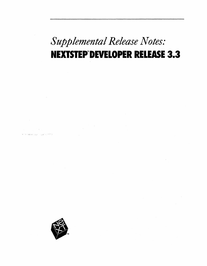## *Supplemental Release Notes:*  **NEXTSTEP DEVELOPER RELEASE 3.3**

 $\sim 10$ 



 $\label{eq:2.1} \frac{1}{\sqrt{2\pi}}\int_{\mathbb{R}^3}\frac{1}{\sqrt{2\pi}}\int_{\mathbb{R}^3}\frac{1}{\sqrt{2\pi}}\int_{\mathbb{R}^3}\frac{1}{\sqrt{2\pi}}\int_{\mathbb{R}^3}\frac{1}{\sqrt{2\pi}}\int_{\mathbb{R}^3}\frac{1}{\sqrt{2\pi}}\int_{\mathbb{R}^3}\frac{1}{\sqrt{2\pi}}\int_{\mathbb{R}^3}\frac{1}{\sqrt{2\pi}}\int_{\mathbb{R}^3}\frac{1}{\sqrt{2\pi}}\int_{\mathbb{R}^3}\frac{1$  $\sigma = \sigma_{\uparrow} \circ \partial \theta \circ \pi_{\uparrow} \circ \beta_{\downarrow} \circ \rho \circ \cdots \circ \gamma_{\downarrow} \circ \pi_{\uparrow} \circ \pi_{\uparrow} \circ \sigma_{\uparrow} \circ \pi_{\uparrow}$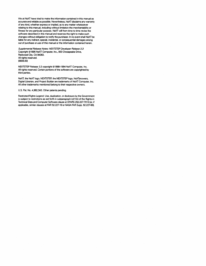We at NeXT have tried to make the information contained in this manual as accurate and reliable as possible. Nevertheless, NeXT disclaims any warranty of any kind, whether express or implied, as to any matter whatsoever relating to this manual, including without limitation the merchantability or fitness for any particular purpose. NeXT will from time to time revise the software described in this manual and reserves the right to make such changes without obligation to notify the purchaser. In no event shall NeXT be liable for any indirect. special, incidental, or consequential damages arising out of purchase or use of this manual or the information contained herein.

Supplemental Release Notes: NEXTSTEP Developer Release 3.3 Copyright ©1995 NeXT Computer, Inc., 900 Chesapeake Drive, Redwood City, CA 94063. All rights reserved. [6606.00)

NEXTSTEP Release 3.3 copyright ©1988-1994 NeXT Computer. Inc. All rights reserved. Certain portions of the software are copyrighted by third parties.

NeXT, the NeXT logo, NEXTSTEP, the NEXTSTEP logo, NeXTanswers, Digital Ubrarian, and Project Builder are trademarks of NeXT Computer, Inc. All other trademarks mentioned belong to their respective owners.

U.S. Pat. No. 4,982.343. Other patents pending.

Restricted Rights Legend: Use, duplication, or disclosure by the Govemment is subject to restrictions as set forth in subparagraph (c)(1)(ii) of the Rights in Technical Data and Computer Software clause at DFARS 252.227-7013 (or. if applicable, similar clauses at FAR 52.227-19 or NASA FAR Supp. 52.227-86).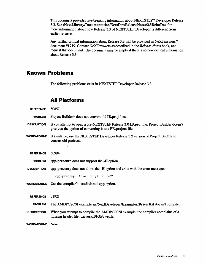This document provides late-breaking information about NEXTSTEP™ Developer Release 3.3. See /NextLibrary/Documentation/NextDev/ReleaseNotes/3.3DeltaDoc for more information about how Release 3.3 of NEXTSTEP Developer is different from earlier releases.

Any further critical information about Release 3.3 will be provided in NeXTanswers™ document #1719. Contact NeXTanswers as described in the *Release Notes* book, and request that document. The document may be empty if there's no new critical information about Release 3.3.

## **Known Problems**

The following problems exist in NEXTSTEP Developer Release 3.3:

## **All Platforms**

| <b>REFERENCE</b>   | 50857                                                                                                                                                 |
|--------------------|-------------------------------------------------------------------------------------------------------------------------------------------------------|
| <b>PROBLEM</b>     | Project Builder <sup>™</sup> does not convert old IB.proj files.                                                                                      |
| <b>DESCRIPTION</b> | If you attempt to open a pre-NEXTSTEP Release 3.0 IB.proj file, Project Builder doesn't<br>give you the option of converting it to a PB.project file. |
| <b>WORKAROUND</b>  | If available, use the NEXTSTEP Developer Release 3.2 version of Project Builder to<br>convert old projects.                                           |
| <b>REFERENCE</b>   | 50994                                                                                                                                                 |
| <b>PROBLEM</b>     | cpp-precomp does not support the -H option.                                                                                                           |
| <b>DESCRIPTION</b> | cpp-precomp does not allow the -H option and exits with the error message:                                                                            |
|                    | cpp-precomp: Invalid option '-H'                                                                                                                      |
| <b>WORKAROUND</b>  | Use the compiler's <b>-traditional-cpp</b> option.                                                                                                    |
| <b>REFERENCE</b>   | 51921                                                                                                                                                 |
| <b>PROBLEM</b>     | The AMDPCSCSI example in /NextDeveloper/Examples/DriverKit doesn't compile.                                                                           |
| <b>DESCRIPTION</b> | When you attempt to compile the AMDPCSCSI example, the compiler complains of a<br>missing header file: driverkit/IOPower.h.                           |
| <b>WORKAROUND</b>  | None.                                                                                                                                                 |